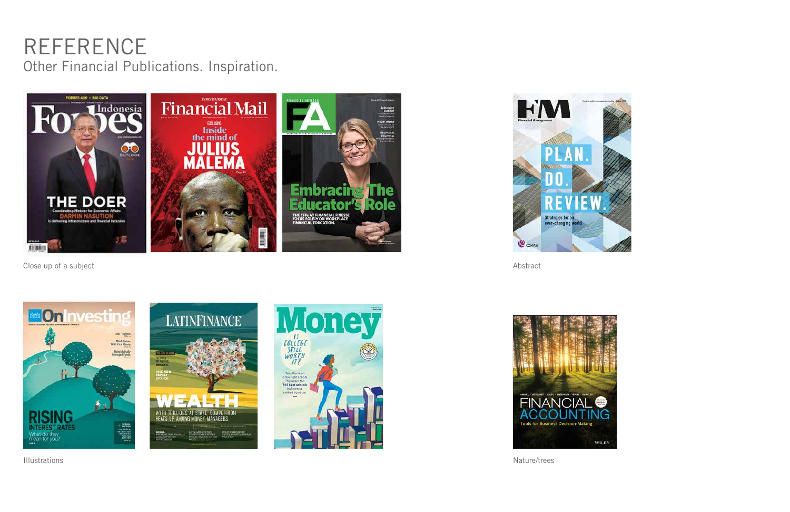#### REFERENCE Other Financial Publications. Inspiration.



Close up of a subject Abstract













Illustrations Nature/trees

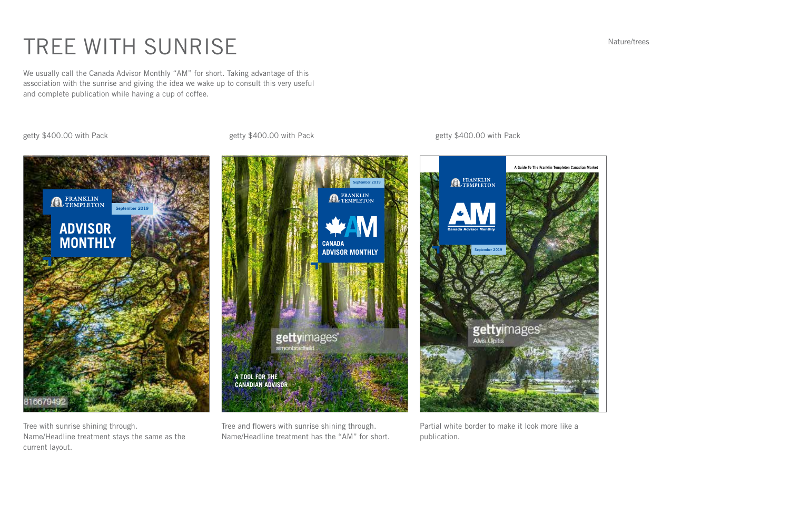

# TREE WITH SUNRISE Nature/trees

We usually call the Canada Advisor Monthly "AM" for short. Taking advantage of this association with the sunrise and giving the idea we wake up to consult this very useful and complete publication while having a cup of coffee.

getty \$400.00 with Pack and the setty \$400.00 with Pack getty \$400.00 with Pack getty \$400.00 with Pack

Tree with sunrise shining through. Name/Headline treatment stays the same as the current layout.

Tree and flowers with sunrise shining through. Name/Headline treatment has the "AM" for short. Partial white border to make it look more like a publication.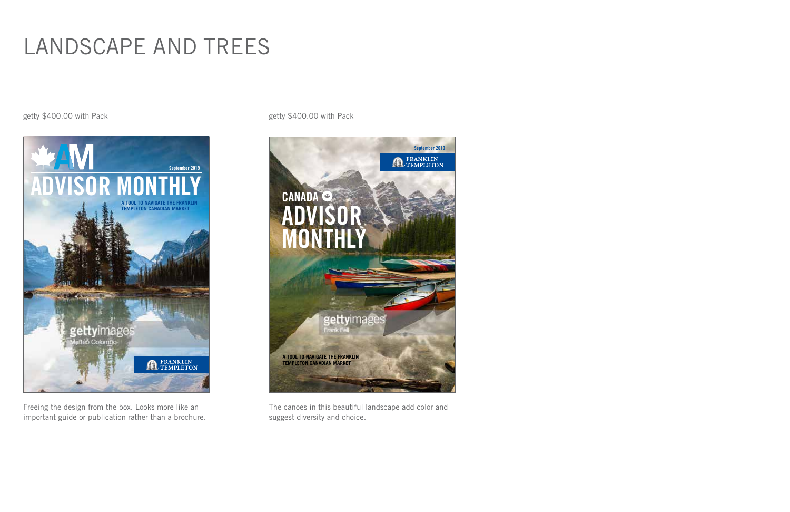#### LANDSCAPE AND TREES

Freeing the design from the box. Looks more like an important guide or publication rather than a brochure.

getty \$400.00 with Pack and the state of the settem of the setty \$400.00 with Pack

The canoes in this beautiful landscape add color and suggest diversity and choice.



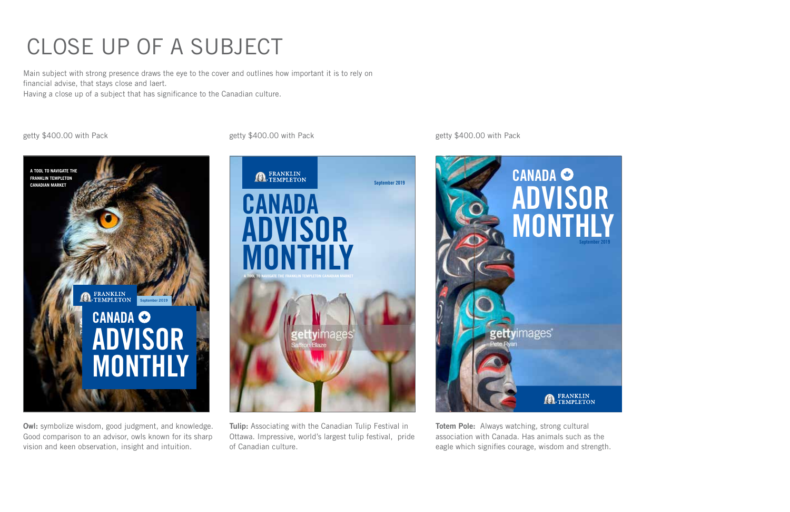# CLOSE UP OF A SUBJECT

Main subject with strong presence draws the eye to the cover and outlines how important it is to rely on financial advise, that stays close and laert.

Owl: symbolize wisdom, good judgment, and knowledge. Good comparison to an advisor, owls known for its sharp vision and keen observation, insight and intuition.

Having a close up of a subject that has significance to the Canadian culture.

Tulip: Associating with the Canadian Tulip Festival in Ottawa. Impressive, world's largest tulip festival, pride of Canadian culture.

Totem Pole: Always watching, strong cultural association with Canada. Has animals such as the eagle which signifies courage, wisdom and strength.







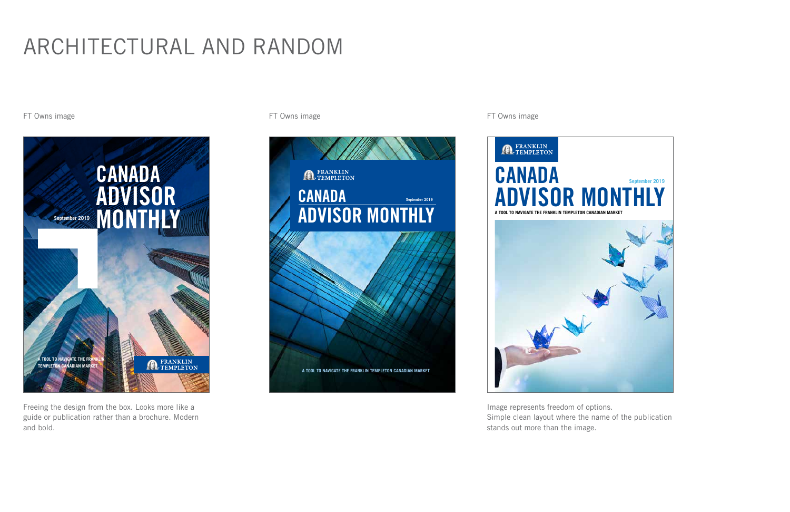# ARCHITECTURAL AND RANDOM

FT Owns image **FT Owns image** FT Owns image

Freeing the design from the box. Looks more like a guide or publication rather than a brochure. Modern and bold.



Image represents freedom of options. Simple clean layout where the name of the publication stands out more than the image.